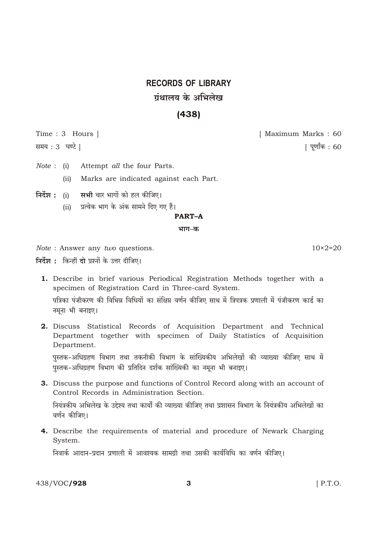# **RECORDS OF LIBRARY** गंथालय के अभिलेख

# $(438)$

Time: 3 Hours |

समय: 3 घण्टे ]

 $Note: (i)$ Attempt all the four Parts.

> Marks are indicated against each Part.  $(ii)$

- निर्देश : (i) सभी चार भागों को हल कीजिए।
	- प्रत्येक भाग के अंक सामने दिए गए हैं।  $(ii)$

# **PART-A**

भाग–क

Note : Answer any two questions.

निर्देश : किन्हीं दो प्रश्नों के उत्तर दीजिए।

- 1. Describe in brief various Periodical Registration Methods together with a specimen of Registration Card in Three-card System. पत्रिका पंजीकरण की विभिन्न विधियों का संक्षिप्त वर्णन कीजिए साथ में त्रिपत्रक प्रणाली में पंजीकरण कार्ड का नमूना भी बनाइए।
- 2. Discuss Statistical Records of Acquisition Department and Technical Department together with specimen of Daily Statistics of Acquisition Department.

पुस्तक-अधिग्रहण विभाग तथा तकनीकी विभाग के सांख्यिकीय अभिलेखों की व्याख्या कीजिए साथ में पुस्तक-अधिग्रहण विभाग की प्रतिदिन दर्शक सांख्यिकी का नमूना भी बनाइए।

- 3. Discuss the purpose and functions of Control Record along with an account of Control Records in Administration Section. नियंत्रकीय अभिलेख के उद्देश्य तथा कार्यों की व्याख्या कीजिए तथा प्रशासन विभाग के नियंत्रकीय अभिलेखों का वर्णन कीजिए।
- 4. Describe the requirements of material and procedure of Newark Charging System.

निवार्क आदान-प्रदान प्रणाली में आवश्यक सामग्री तथा उसकी कार्यविधि का वर्णन कीजिए।

438/VOC/928

 $[$  P.T.O.

[ पूर्णांक : 60

[ Maximum Marks: 60

 $10\times 2=20$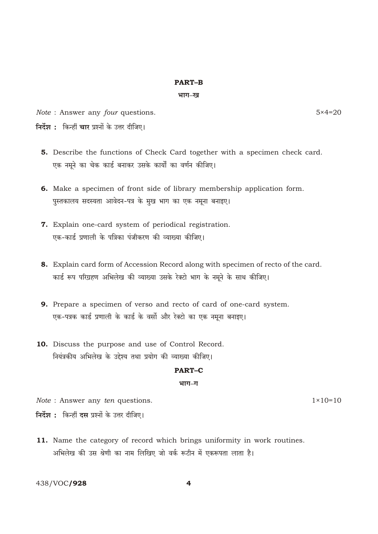# **PART-B**

### भाग–ख

Note: Answer any four questions.

 $5 \times 4 = 20$ 

- निर्देश : किन्हीं चार प्रश्नों के उत्तर दीजिए।
	- 5. Describe the functions of Check Card together with a specimen check card. एक नमूने का चेक कार्ड बनाकर उसके कार्यों का वर्णन कीजिए।
	- 6. Make a specimen of front side of library membership application form. पुस्तकालय सदस्यता आवेदन-पत्र के मुख भाग का एक नमूना बनाइए।
	- 7. Explain one-card system of periodical registration. एक-कार्ड प्रणाली के पत्रिका पंजीकरण की व्याख्या कीजिए।
	- 8. Explain card form of Accession Record along with specimen of recto of the card. कार्ड रूप परिग्रहण अभिलेख की व्याख्या उसके रेक्टो भाग के नमूने के साथ कीजिए।
	- 9. Prepare a specimen of verso and recto of card of one-card system. एक-पत्रक कार्ड प्रणाली के कार्ड के वर्सो और रेक्टो का एक नमुना बनाइए।
- 10. Discuss the purpose and use of Control Record. नियंत्रकीय अभिलेख के उद्देश्य तथा प्रयोग की व्याख्या कीजिए।

#### **PART-C**

#### भाग-ग

Note : Answer any ten questions.

 $1 \times 10 = 10$ 

निर्देश : किन्हीं दस प्रश्नों के उत्तर दीजिए।

11. Name the category of record which brings uniformity in work routines. अभिलेख की उस श्रेणी का नाम लिखिए जो वर्क रूटीन में एकरूपता लाता है।

438/VOC/928

 $\overline{\mathbf{A}}$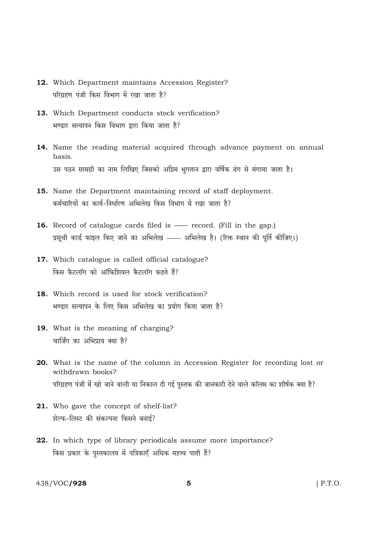- 12. Which Department maintains Accession Register? परिग्रहण पंजी किस विभाग में रखा जाता है?
- 13. Which Department conducts stock verification? भण्डार सत्यापन किस विभाग द्वारा किया जाता है?
- 14. Name the reading material acquired through advance payment on annual basis. उस पठन सामग्री का नाम लिखिए जिसको अग्रिम भुगतान द्वारा वर्षिक ढंग से मंगाया जाता है।
- 15. Name the Department maintaining record of staff deployment. कर्मचारियों का कार्य-निर्धारण अभिलेख किस विभाग में रखा जाता है?
- **16.** Record of catalogue cards filed is record. (Fill in the gap.) प्रसूची कार्ड फाइल किए जाने का अभिलेख —— अभिलेख है। (रिक्त स्थान की पूर्ति कीजिए।)
- 17. Which catalogue is called official catalogue? किस कैटलॉग को ऑफिशियल कैटलॉग कहते हैं?
- 18. Which record is used for stock verification? भण्डार सत्यापन के लिए किस अभिलेख का प्रयोग किया जाता है?
- 19. What is the meaning of charging? चार्जिंग का अभिप्राय क्या है?
- 20. What is the name of the column in Accession Register for recording lost or withdrawn books? परिग्रहण पंजी में खो जाने वाली या निकाल दी गई पुस्तक की जानकारी देने वाले कॉलम का शीर्षक क्या है?
- 21. Who gave the concept of shelf-list? शेल्फ-लिस्ट की संकल्पना किसने बनाई?
- 22. In which type of library periodicals assume more importance? किस प्रकार के पुस्तकालय में पत्रिकाएँ अधिक महत्त्व पाती हैं?

438/VOC/928

 $\overline{5}$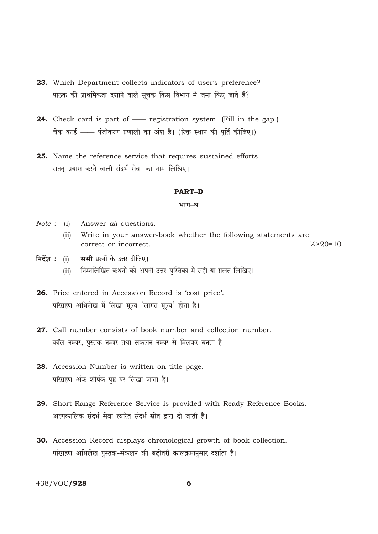- 23. Which Department collects indicators of user's preference? पाठक की प्राथमिकता दर्शाने वाले सचक किस विभाग में जमा किए जाते हैं?
- 24. Check card is part of registration system. (Fill in the gap.) चेक कार्ड —— पंजीकरण प्रणाली का अंश है। (रिक्त स्थान की पूर्ति कीजिए।)
- 25. Name the reference service that requires sustained efforts. सतत् प्रयास करने वाली संदर्भ सेवा का नाम लिखिए।

# **PART-D**

#### भाग-घ

- *Note*: (i) Answer *all* questions.
	- (ii) Write in your answer-book whether the following statements are correct or incorrect.  $\frac{1}{2} \times 20 = 10$
- निर्देश : (i) सभी प्रश्नों के उत्तर दीजिए।
	- (ii) निम्नलिखित कथनों को अपनी उत्तर-पुस्तिका में सही या ग़लत लिखिए।
- 26. Price entered in Accession Record is 'cost price'. परिग्रहण अभिलेख में लिखा मूल्य 'लागत मूल्य' होता है।
- 27. Call number consists of book number and collection number. कॉल नम्बर, पुस्तक नम्बर तथा संकलन नम्बर से मिलकर बनता है।
- 28. Accession Number is written on title page. परिग्रहण अंक शीर्षक पृष्ठ पर लिखा जाता है।
- 29. Short-Range Reference Service is provided with Ready Reference Books. अल्पकालिक संदर्भ सेवा त्वरित संदर्भ स्रोत द्वारा दी जाती है।
- **30.** Accession Record displays chronological growth of book collection. परिग्रहण अभिलेख पुस्तक-संकलन की बढ़ोतरी कालक्रमानुसार दर्शाता है।

438/VOC/928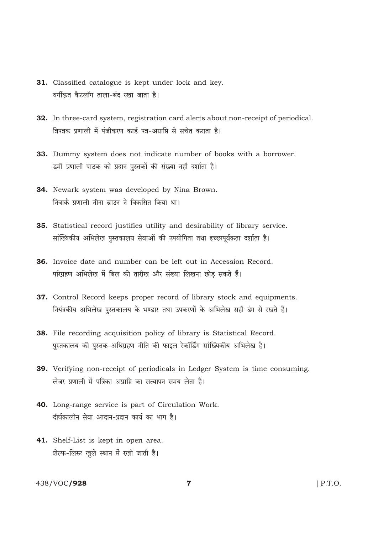- 31. Classified catalogue is kept under lock and key. वर्गीकृत कैटलॉग ताला-बंद रखा जाता है।
- 32. In three-card system, registration card alerts about non-receipt of periodical. त्रिपत्रक प्रणाली में पंजीकरण कार्ड पत्र-अप्राप्ति से सचेत कराता है।
- 33. Dummy system does not indicate number of books with a borrower. डमी प्रणाली पाठक को प्रदान पुस्तकों की संख्या नहीं दर्शाता है।
- 34. Newark system was developed by Nina Brown. निवार्क प्रणाली नीना बाउन ने विकसित किया था।
- 35. Statistical record justifies utility and desirability of library service. सांख्यिकीय अभिलेख पुस्तकालय सेवाओं की उपयोगिता तथा इच्छापूर्वकता दर्शाता है।
- 36. Invoice date and number can be left out in Accession Record. परिग्रहण अभिलेख में बिल की तारीख और संख्या लिखना छोड सकते हैं।
- 37. Control Record keeps proper record of library stock and equipments. नियंत्रकीय अभिलेख पुस्तकालय के भण्डार तथा उपकरणों के अभिलेख सही ढंग से रखते हैं।
- 38. File recording acquisition policy of library is Statistical Record. पुस्तकालय की पुस्तक-अधिग्रहण नीति की फाइल रेकॉर्डिंग सांख्यिकीय अभिलेख है।
- 39. Verifying non-receipt of periodicals in Ledger System is time consuming. लेजर प्रणाली में पत्रिका अप्राप्ति का सत्यापन समय लेता है।
- 40. Long-range service is part of Circulation Work. दीर्घकालीन सेवा आदान-प्रदान कार्य का भाग है।
- 41. Shelf-List is kept in open area. शेल्फ-लिस्ट खुले स्थान में रखी जाती है।

# 438/VOC/928